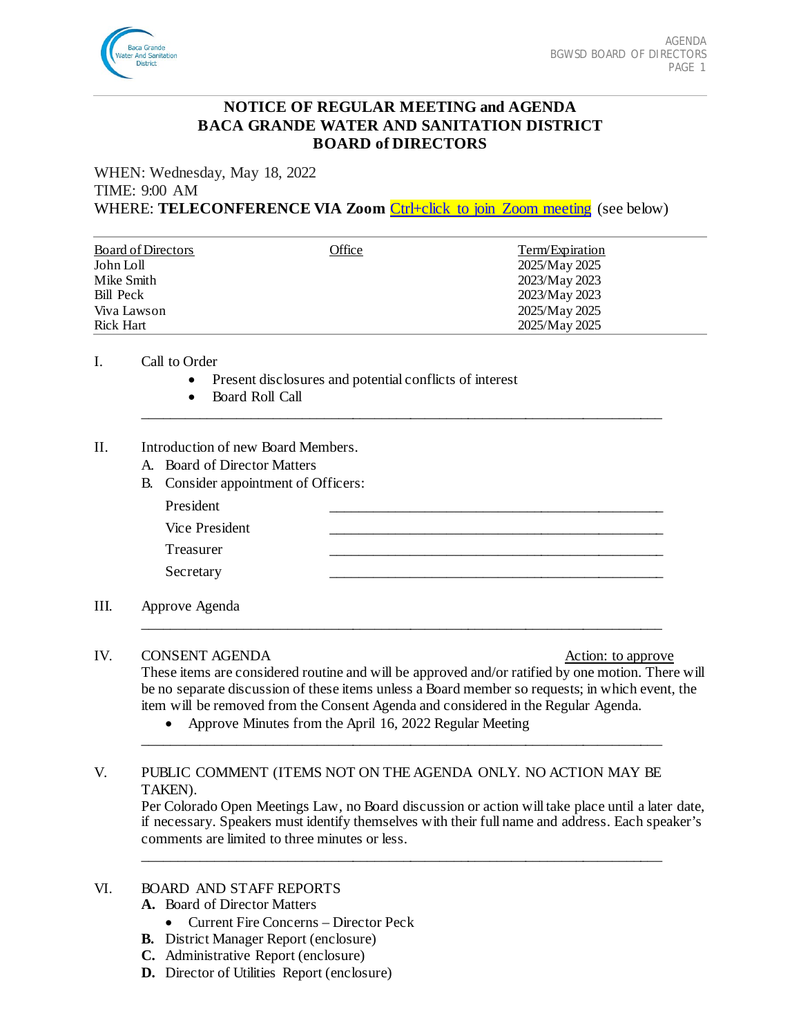

# **NOTICE OF REGULAR MEETING and AGENDA BACA GRANDE WATER AND SANITATION DISTRICT BOARD of DIRECTORS**

WHEN: Wednesday, May 18, 2022 TIME: 9:00 AM WHERE: **TELECONFERENCE VIA Zoom** [Ctrl+click to join Zoom meeting](https://us02web.zoom.us/j/87269124750?pwd=ZmZVcTd2Y0UycW0vRmFWNS9wTU5WQT09) (see below)

| <b>Board of Directors</b> | Office | Term/Expiration |
|---------------------------|--------|-----------------|
| John Loll                 |        | 2025/May 2025   |
| Mike Smith                |        | 2023/May 2023   |
| Bill Peck                 |        | 2023/May 2023   |
| Viva Lawson               |        | 2025/May 2025   |
| Rick Hart                 |        | 2025/May 2025   |

\_\_\_\_\_\_\_\_\_\_\_\_\_\_\_\_\_\_\_\_\_\_\_\_\_\_\_\_\_\_\_\_\_\_\_\_\_\_\_\_\_\_\_\_\_\_\_\_\_\_\_\_\_\_\_\_\_\_\_\_\_\_\_\_\_\_\_\_\_\_\_\_

#### I. Call to Order

- Present disclosures and potential conflicts of interest
- Board Roll Call

#### II. Introduction of new Board Members.

- A. Board of Director Matters
- B. Consider appointment of Officers:

| President      |  |
|----------------|--|
| Vice President |  |
| Treasurer      |  |
| Secretary      |  |
|                |  |

\_\_\_\_\_\_\_\_\_\_\_\_\_\_\_\_\_\_\_\_\_\_\_\_\_\_\_\_\_\_\_\_\_\_\_\_\_\_\_\_\_\_\_\_\_\_\_\_\_\_\_\_\_\_\_\_\_\_\_\_\_\_\_\_\_\_\_\_\_\_\_\_

\_\_\_\_\_\_\_\_\_\_\_\_\_\_\_\_\_\_\_\_\_\_\_\_\_\_\_\_\_\_\_\_\_\_\_\_\_\_\_\_\_\_\_\_\_\_\_\_\_\_\_\_\_\_\_\_\_\_\_\_\_\_\_\_\_\_\_\_\_\_\_\_

\_\_\_\_\_\_\_\_\_\_\_\_\_\_\_\_\_\_\_\_\_\_\_\_\_\_\_\_\_\_\_\_\_\_\_\_\_\_\_\_\_\_\_\_\_\_\_\_\_\_\_\_\_\_\_\_\_\_\_\_\_\_\_\_\_\_\_\_\_\_\_\_

III. Approve Agenda

### IV. CONSENT AGENDA Action: to approve

These items are considered routine and will be approved and/or ratified by one motion. There will be no separate discussion of these items unless a Board member so requests; in which event, the item will be removed from the Consent Agenda and considered in the Regular Agenda.

• Approve Minutes from the April 16, 2022 Regular Meeting

## V. PUBLIC COMMENT (ITEMS NOT ON THE AGENDA ONLY. NO ACTION MAY BE TAKEN).

Per Colorado Open Meetings Law, no Board discussion or action will take place until a later date, if necessary. Speakers must identify themselves with their full name and address. Each speaker's comments are limited to three minutes or less.

### VI. BOARD AND STAFF REPORTS

- **A.** Board of Director Matters
	- Current Fire Concerns Director Peck
- **B.** District Manager Report (enclosure)
- **C.** Administrative Report (enclosure)
- **D.** Director of Utilities Report (enclosure)